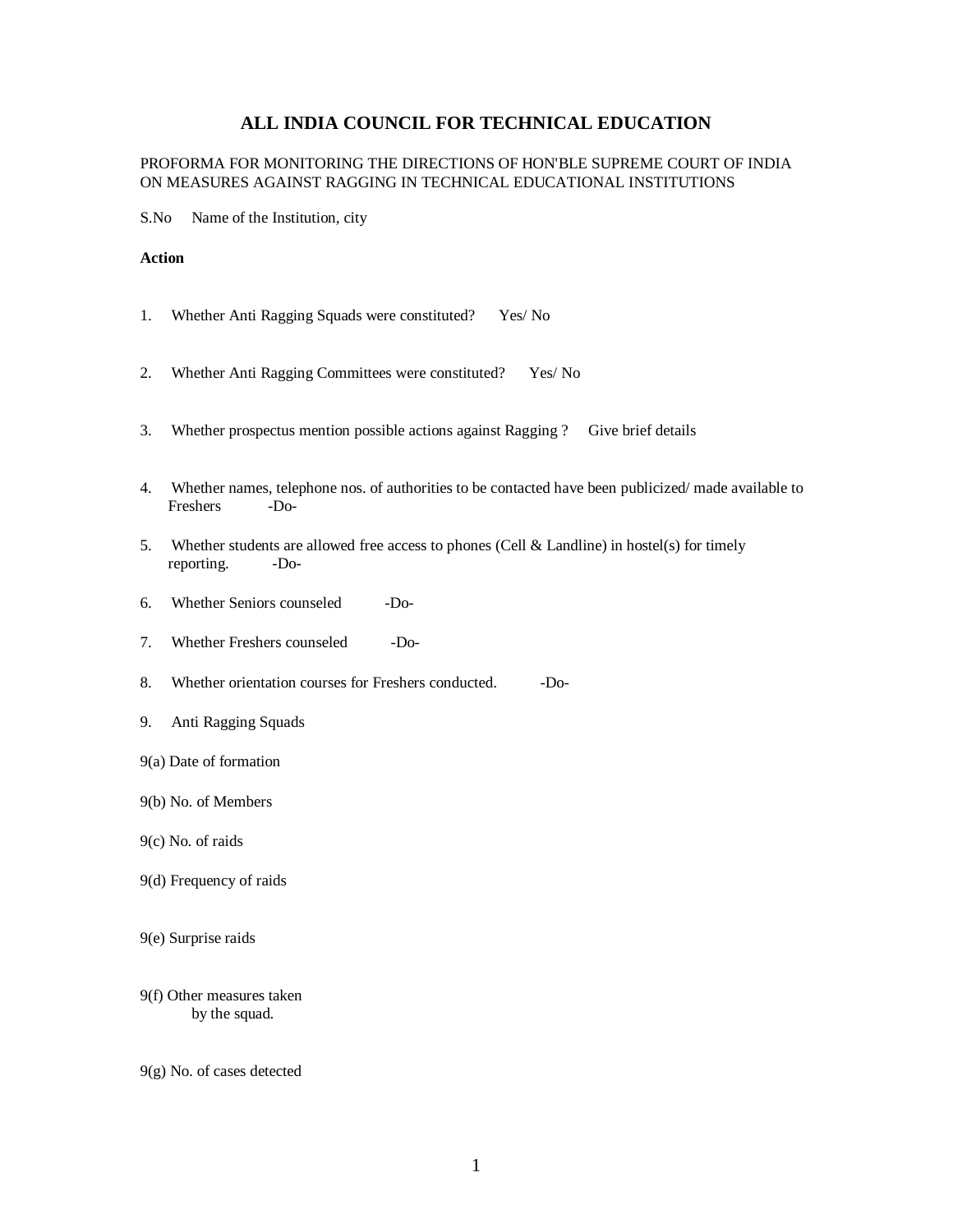## **ALL INDIA COUNCIL FOR TECHNICAL EDUCATION**

## PROFORMA FOR MONITORING THE DIRECTIONS OF HON'BLE SUPREME COURT OF INDIA ON MEASURES AGAINST RAGGING IN TECHNICAL EDUCATIONAL INSTITUTIONS

S.No Name of the Institution, city

## **Action**

- 1. Whether Anti Ragging Squads were constituted? Yes/ No
- 2. Whether Anti Ragging Committees were constituted? Yes/ No
- 3. Whether prospectus mention possible actions against Ragging ? Give brief details
- 4. Whether names, telephone nos. of authorities to be contacted have been publicized/ made available to Freshers -Do-
- 5. Whether students are allowed free access to phones (Cell & Landline) in hostel(s) for timely reporting. -Do-
- 6. Whether Seniors counseled -Do-
- 7. Whether Freshers counseled -Do-
- 8. Whether orientation courses for Freshers conducted. Do-
- 9. Anti Ragging Squads
- 9(a) Date of formation
- 9(b) No. of Members
- 9(c) No. of raids
- 9(d) Frequency of raids
- 9(e) Surprise raids
- 9(f) Other measures taken by the squad.
- 9(g) No. of cases detected